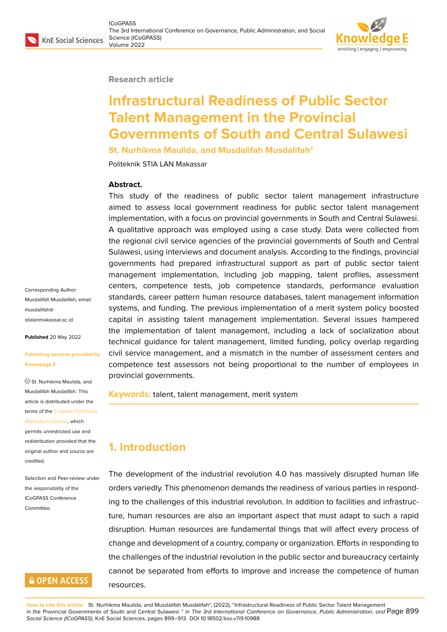#### **Research article**

# **Infrastructural Readiness of Public Sector Talent Management in the Provincial Governments of South and Central Sulawesi**

**St. Nurhikma Maulida, and Musdalifah Musdalifah\***

Politeknik STIA LAN Makassar

#### **Abstract.**

This study of the readiness of public sector talent management infrastructure aimed to assess local government readiness for public sector talent management implementation, with a focus on provincial governments in South and Central Sulawesi. A qualitative approach was employed using a case study. Data were collected from the regional civil service agencies of the provincial governments of South and Central Sulawesi, using interviews and document analysis. According to the findings, provincial governments had prepared infrastructural support as part of public sector talent management implementation, including job mapping, talent profiles, assessment centers, competence tests, job competence standards, performance evaluation standards, career pattern human resource databases, talent management information systems, and funding. The previous implementation of a merit system policy boosted capital in assisting talent management implementation. Several issues hampered the implementation of talent management, including a lack of socialization about technical guidance for talent management, limited funding, policy overlap regarding civil service management, and a mismatch in the number of assessment centers and competence test assessors not being proportional to the number of employees in provincial governments.

**Keywords:** talent, talent management, merit system

# **1. Introduction**

The development of the industrial revolution 4.0 has massively disrupted human life orders variedly. This phenomenon demands the readiness of various parties in responding to the challenges of this industrial revolution. In addition to facilities and infrastructure, human resources are also an important aspect that must adapt to such a rapid disruption. Human resources are fundamental things that will affect every process of change and development of a country, company or organization. Efforts in responding to the challenges of the industrial revolution in the public sector and bureaucracy certainly cannot be separated from efforts to improve and increase the competence of human resources.

**How to cite this article**: St. Nurhikma Maulida, and Musdalifah Musdalifah\*, (2022), "Infrastructural Readiness of Public Sector Talent Management in the Provincial Governments of South and Central Sulawesi " in *The 3rd International Conference on Governance, Public Administration, and* Page 899 *Social Science (ICoGPASS)*, KnE Social Sciences, pages 899–913. DOI 10.18502/kss.v7i9.10988

Corresponding Author: Musdalifah Musdalifah; email: musdalifah@ stialanmakassar.ac.id

**Published** 20 May 2022

#### **[Publishing services p](mailto:musdalifah@stialanmakassar.ac.id)rovided by Knowledge E**

St. Nurhikma Maulida, and Musdalifah Musdalifah. This article is distributed under the terms of the Creative Commons Attribution License, which

permits unrestricted use and redistribution provided that the original auth[or and source are](https://creativecommons.org/licenses/by/4.0/) [credited.](https://creativecommons.org/licenses/by/4.0/)

Selection and Peer-review under the responsibility of the ICoGPASS Conference Committee.

# **GOPEN ACCESS**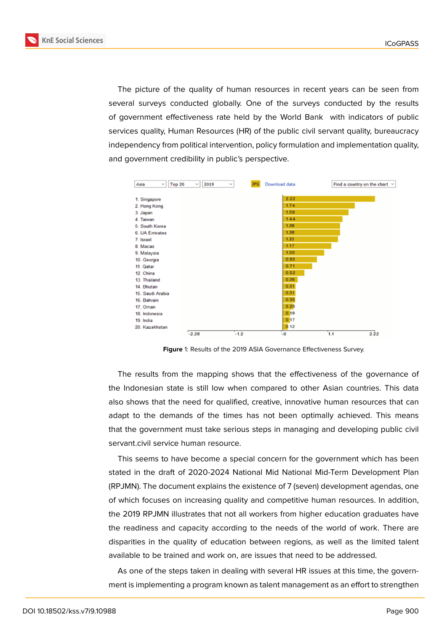**KnE Social Sciences** 



The picture of the quality of human resources in recent years can be seen from several surveys conducted globally. One of the surveys conducted by the results of government effectiveness rate held by the World Bank with indicators of public services quality, Human Resources (HR) of the public civil servant quality, bureaucracy independency from political intervention, policy formulation and implementation quality, and government credibility in public's perspective.



**Figure** 1: Results of the 2019 ASIA Governance Effectiveness Survey.

The results from the mapping shows that the effectiveness of the governance of the Indonesian state is still low when compared to other Asian countries. This data also shows that the need for qualified, creative, innovative human resources that can adapt to the demands of the times has not been optimally achieved. This means that the government must take serious steps in managing and developing public civil servant.civil service human resource.

This seems to have become a special concern for the government which has been stated in the draft of 2020-2024 National Mid National Mid-Term Development Plan (RPJMN). The document explains the existence of 7 (seven) development agendas, one of which focuses on increasing quality and competitive human resources. In addition, the 2019 RPJMN illustrates that not all workers from higher education graduates have the readiness and capacity according to the needs of the world of work. There are disparities in the quality of education between regions, as well as the limited talent available to be trained and work on, are issues that need to be addressed.

As one of the steps taken in dealing with several HR issues at this time, the government is implementing a program known as talent management as an effort to strengthen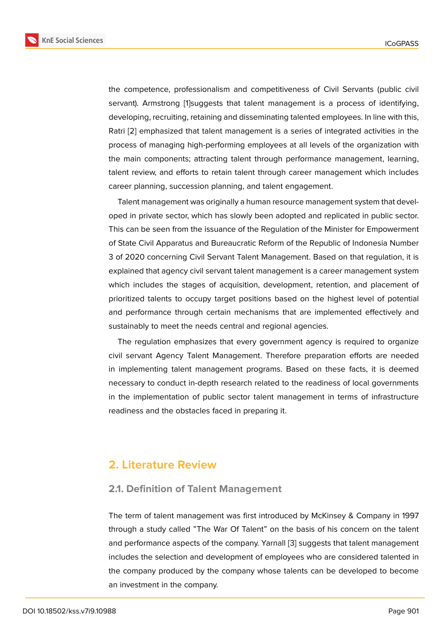the competence, professionalism and competitiveness of Civil Servants (public civil servant). Armstrong [1]suggests that talent management is a process of identifying, developing, recruiting, retaining and disseminating talented employees. In line with this, Ratri [2] emphasized that talent management is a series of integrated activities in the process of managing [h](#page-13-0)igh-performing employees at all levels of the organization with the main components; attracting talent through performance management, learning, talent [r](#page-13-1)eview, and efforts to retain talent through career management which includes career planning, succession planning, and talent engagement.

Talent management was originally a human resource management system that developed in private sector, which has slowly been adopted and replicated in public sector. This can be seen from the issuance of the Regulation of the Minister for Empowerment of State Civil Apparatus and Bureaucratic Reform of the Republic of Indonesia Number 3 of 2020 concerning Civil Servant Talent Management. Based on that regulation, it is explained that agency civil servant talent management is a career management system which includes the stages of acquisition, development, retention, and placement of prioritized talents to occupy target positions based on the highest level of potential and performance through certain mechanisms that are implemented effectively and sustainably to meet the needs central and regional agencies.

The regulation emphasizes that every government agency is required to organize civil servant Agency Talent Management. Therefore preparation efforts are needed in implementing talent management programs. Based on these facts, it is deemed necessary to conduct in-depth research related to the readiness of local governments in the implementation of public sector talent management in terms of infrastructure readiness and the obstacles faced in preparing it.

### **2. Literature Review**

#### **2.1. Definition of Talent Management**

The term of talent management was first introduced by McKinsey & Company in 1997 through a study called "The War Of Talent" on the basis of his concern on the talent and performance aspects of the company. Yarnall [3] suggests that talent management includes the selection and development of employees who are considered talented in the company produced by the company whose talents can be developed to become an investment in the company.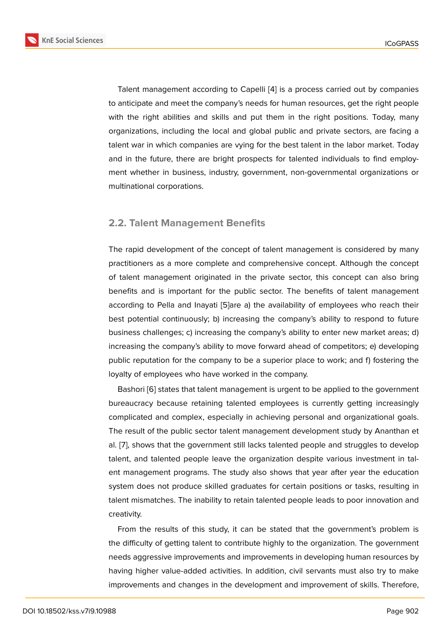Talent management according to Capelli [4] is a process carried out by companies to anticipate and meet the company's needs for human resources, get the right people with the right abilities and skills and put them in the right positions. Today, many organizations, including the local and globa[l](#page-13-2) public and private sectors, are facing a talent war in which companies are vying for the best talent in the labor market. Today and in the future, there are bright prospects for talented individuals to find employment whether in business, industry, government, non-governmental organizations or multinational corporations.

### **2.2. Talent Management Benefits**

The rapid development of the concept of talent management is considered by many practitioners as a more complete and comprehensive concept. Although the concept of talent management originated in the private sector, this concept can also bring benefits and is important for the public sector. The benefits of talent management according to Pella and Inayati [5]are a) the availability of employees who reach their best potential continuously; b) increasing the company's ability to respond to future business challenges; c) increasing the company's ability to enter new market areas; d) increasing the company's abilit[y t](#page-13-3)o move forward ahead of competitors; e) developing public reputation for the company to be a superior place to work; and f) fostering the loyalty of employees who have worked in the company.

Bashori [6] states that talent management is urgent to be applied to the government bureaucracy because retaining talented employees is currently getting increasingly complicated and complex, especially in achieving personal and organizational goals. The result [of](#page-13-4) the public sector talent management development study by Ananthan et al. [7], shows that the government still lacks talented people and struggles to develop talent, and talented people leave the organization despite various investment in talent management programs. The study also shows that year after year the education sys[te](#page-13-5)m does not produce skilled graduates for certain positions or tasks, resulting in talent mismatches. The inability to retain talented people leads to poor innovation and creativity.

From the results of this study, it can be stated that the government's problem is the difficulty of getting talent to contribute highly to the organization. The government needs aggressive improvements and improvements in developing human resources by having higher value-added activities. In addition, civil servants must also try to make improvements and changes in the development and improvement of skills. Therefore,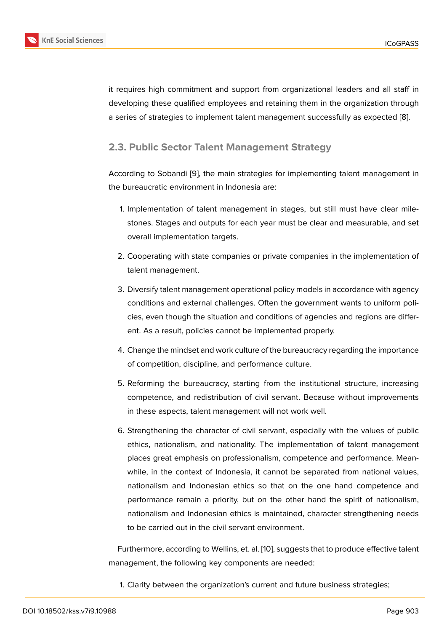it requires high commitment and support from organizational leaders and all staff in developing these qualified employees and retaining them in the organization through a series of strategies to implement talent management successfully as expected [8].

### **2.3. Public Sector Talent Management Strategy**

According to Sobandi [9], the main strategies for implementing talent management in the bureaucratic environment in Indonesia are:

- 1. Implementation o[f](#page-14-0) talent management in stages, but still must have clear milestones. Stages and outputs for each year must be clear and measurable, and set overall implementation targets.
- 2. Cooperating with state companies or private companies in the implementation of talent management.
- 3. Diversify talent management operational policy models in accordance with agency conditions and external challenges. Often the government wants to uniform policies, even though the situation and conditions of agencies and regions are different. As a result, policies cannot be implemented properly.
- 4. Change the mindset and work culture of the bureaucracy regarding the importance of competition, discipline, and performance culture.
- 5. Reforming the bureaucracy, starting from the institutional structure, increasing competence, and redistribution of civil servant. Because without improvements in these aspects, talent management will not work well.
- 6. Strengthening the character of civil servant, especially with the values of public ethics, nationalism, and nationality. The implementation of talent management places great emphasis on professionalism, competence and performance. Meanwhile, in the context of Indonesia, it cannot be separated from national values, nationalism and Indonesian ethics so that on the one hand competence and performance remain a priority, but on the other hand the spirit of nationalism, nationalism and Indonesian ethics is maintained, character strengthening needs to be carried out in the civil servant environment.

Furthermore, according to Wellins, et. al. [10], suggests that to produce effective talent management, the following key components are needed:

1. Clarity between the organization's cur[ren](#page-14-1)t and future business strategies;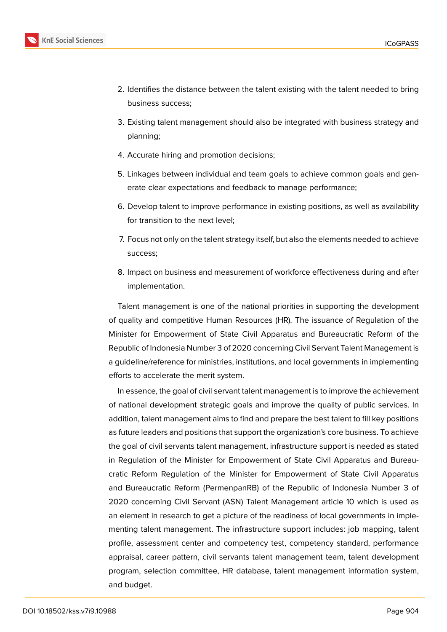

- 2. Identifies the distance between the talent existing with the talent needed to bring business success;
- 3. Existing talent management should also be integrated with business strategy and planning;
- 4. Accurate hiring and promotion decisions;
- 5. Linkages between individual and team goals to achieve common goals and generate clear expectations and feedback to manage performance;
- 6. Develop talent to improve performance in existing positions, as well as availability for transition to the next level;
- 7. Focus not only on the talent strategy itself, but also the elements needed to achieve success;
- 8. Impact on business and measurement of workforce effectiveness during and after implementation.

Talent management is one of the national priorities in supporting the development of quality and competitive Human Resources (HR). The issuance of Regulation of the Minister for Empowerment of State Civil Apparatus and Bureaucratic Reform of the Republic of Indonesia Number 3 of 2020 concerning Civil Servant Talent Management is a guideline/reference for ministries, institutions, and local governments in implementing efforts to accelerate the merit system.

In essence, the goal of civil servant talent management is to improve the achievement of national development strategic goals and improve the quality of public services. In addition, talent management aims to find and prepare the best talent to fill key positions as future leaders and positions that support the organization's core business. To achieve the goal of civil servants talent management, infrastructure support is needed as stated in Regulation of the Minister for Empowerment of State Civil Apparatus and Bureaucratic Reform Regulation of the Minister for Empowerment of State Civil Apparatus and Bureaucratic Reform (PermenpanRB) of the Republic of Indonesia Number 3 of 2020 concerning Civil Servant (ASN) Talent Management article 10 which is used as an element in research to get a picture of the readiness of local governments in implementing talent management. The infrastructure support includes: job mapping, talent profile, assessment center and competency test, competency standard, performance appraisal, career pattern, civil servants talent management team, talent development program, selection committee, HR database, talent management information system, and budget.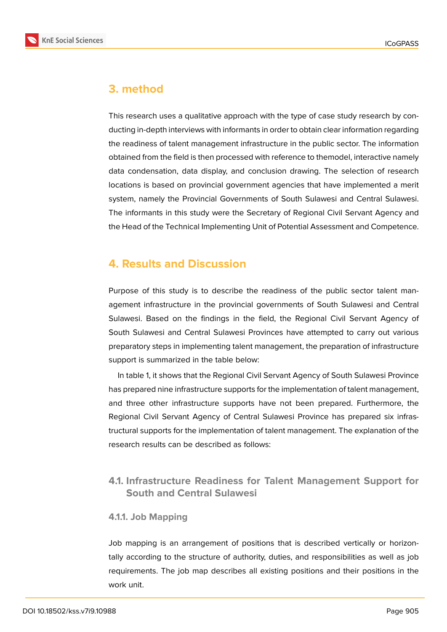

# **3. method**

This research uses a qualitative approach with the type of case study research by conducting in-depth interviews with informants in order to obtain clear information regarding the readiness of talent management infrastructure in the public sector. The information obtained from the field is then processed with reference to themodel, interactive namely data condensation, data display, and conclusion drawing. The selection of research locations is based on provincial government agencies that have implemented a merit system, namely the Provincial Governments of South Sulawesi and Central Sulawesi. The informants in this study were the Secretary of Regional Civil Servant Agency and the Head of the Technical Implementing Unit of Potential Assessment and Competence.

# **4. Results and Discussion**

Purpose of this study is to describe the readiness of the public sector talent management infrastructure in the provincial governments of South Sulawesi and Central Sulawesi. Based on the findings in the field, the Regional Civil Servant Agency of South Sulawesi and Central Sulawesi Provinces have attempted to carry out various preparatory steps in implementing talent management, the preparation of infrastructure support is summarized in the table below:

In table 1, it shows that the Regional Civil Servant Agency of South Sulawesi Province has prepared nine infrastructure supports for the implementation of talent management, and three other infrastructure supports have not been prepared. Furthermore, the Regional Civil Servant Agency of Central Sulawesi Province has prepared six infrastructural supports for the implementation of talent management. The explanation of the research results can be described as follows:

### **4.1. Infrastructure Readiness for Talent Management Support for South and Central Sulawesi**

### **4.1.1. Job Mapping**

Job mapping is an arrangement of positions that is described vertically or horizontally according to the structure of authority, duties, and responsibilities as well as job requirements. The job map describes all existing positions and their positions in the work unit.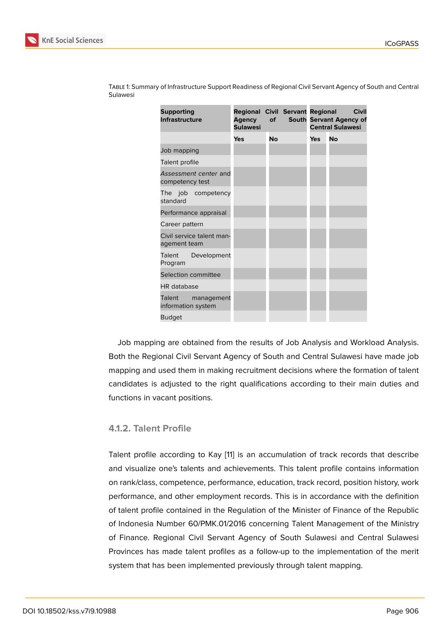| <b>Supporting</b><br><b>Infrastructure</b> | <b>Regional Civil Servant Regional</b><br>Agency<br><b>Sulawesi</b> | of | Civil<br>South Servant Agency of<br><b>Central Sulawesi</b> |    |  |
|--------------------------------------------|---------------------------------------------------------------------|----|-------------------------------------------------------------|----|--|
|                                            | Yes                                                                 | No | <b>Yes</b>                                                  | No |  |
| Job mapping                                |                                                                     |    |                                                             |    |  |
| Talent profile                             |                                                                     |    |                                                             |    |  |
| Assessment center and<br>competency test   |                                                                     |    |                                                             |    |  |
| The job competency<br>standard             |                                                                     |    |                                                             |    |  |
| Performance appraisal                      |                                                                     |    |                                                             |    |  |
| Career pattern                             |                                                                     |    |                                                             |    |  |
| Civil service talent man-<br>agement team  |                                                                     |    |                                                             |    |  |
| Development<br>Talent<br>Program           |                                                                     |    |                                                             |    |  |
| Selection committee                        |                                                                     |    |                                                             |    |  |
| HR database                                |                                                                     |    |                                                             |    |  |
| Talent<br>management<br>information system |                                                                     |    |                                                             |    |  |
| <b>Budget</b>                              |                                                                     |    |                                                             |    |  |

Table 1: Summary of Infrastructure Support Readiness of Regional Civil Servant Agency of South and Central Sulawesi

Job mapping are obtained from the results of Job Analysis and Workload Analysis. Both the Regional Civil Servant Agency of South and Central Sulawesi have made job mapping and used them in making recruitment decisions where the formation of talent candidates is adjusted to the right qualifications according to their main duties and functions in vacant positions.

#### **4.1.2. Talent Profile**

Talent profile according to Kay [11] is an accumulation of track records that describe and visualize one's talents and achievements. This talent profile contains information on rank/class, competence, performance, education, track record, position history, work performance, and other employ[me](#page-14-2)nt records. This is in accordance with the definition of talent profile contained in the Regulation of the Minister of Finance of the Republic of Indonesia Number 60/PMK.01/2016 concerning Talent Management of the Ministry of Finance. Regional Civil Servant Agency of South Sulawesi and Central Sulawesi Provinces has made talent profiles as a follow-up to the implementation of the merit system that has been implemented previously through talent mapping.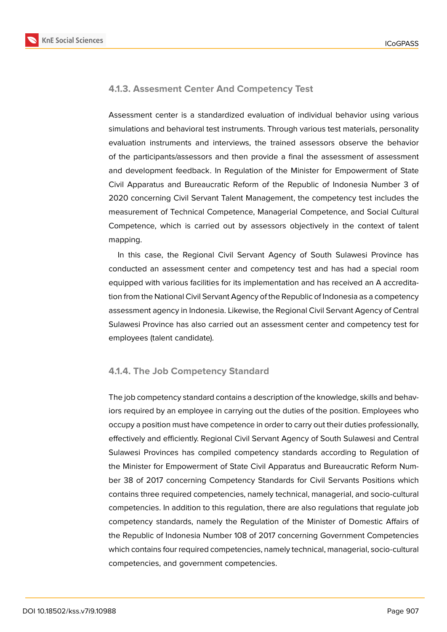

#### **4.1.3. Assesment Center And Competency Test**

Assessment center is a standardized evaluation of individual behavior using various simulations and behavioral test instruments. Through various test materials, personality evaluation instruments and interviews, the trained assessors observe the behavior of the participants/assessors and then provide a final the assessment of assessment and development feedback. In Regulation of the Minister for Empowerment of State Civil Apparatus and Bureaucratic Reform of the Republic of Indonesia Number 3 of 2020 concerning Civil Servant Talent Management, the competency test includes the measurement of Technical Competence, Managerial Competence, and Social Cultural Competence, which is carried out by assessors objectively in the context of talent mapping.

In this case, the Regional Civil Servant Agency of South Sulawesi Province has conducted an assessment center and competency test and has had a special room equipped with various facilities for its implementation and has received an A accreditation from the National Civil Servant Agency of the Republic of Indonesia as a competency assessment agency in Indonesia. Likewise, the Regional Civil Servant Agency of Central Sulawesi Province has also carried out an assessment center and competency test for employees (talent candidate).

### **4.1.4. The Job Competency Standard**

The job competency standard contains a description of the knowledge, skills and behaviors required by an employee in carrying out the duties of the position. Employees who occupy a position must have competence in order to carry out their duties professionally, effectively and efficiently. Regional Civil Servant Agency of South Sulawesi and Central Sulawesi Provinces has compiled competency standards according to Regulation of the Minister for Empowerment of State Civil Apparatus and Bureaucratic Reform Number 38 of 2017 concerning Competency Standards for Civil Servants Positions which contains three required competencies, namely technical, managerial, and socio-cultural competencies. In addition to this regulation, there are also regulations that regulate job competency standards, namely the Regulation of the Minister of Domestic Affairs of the Republic of Indonesia Number 108 of 2017 concerning Government Competencies which contains four required competencies, namely technical, managerial, socio-cultural competencies, and government competencies.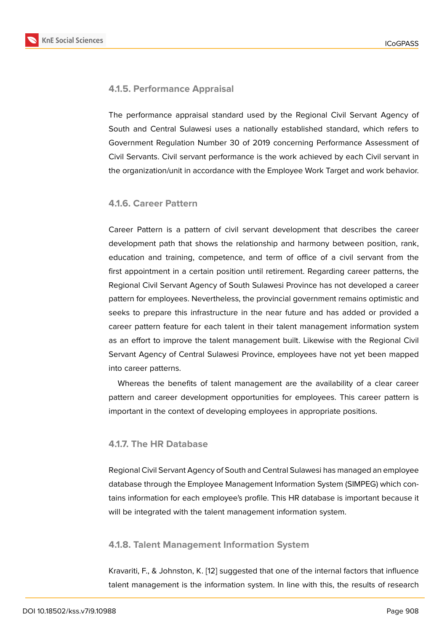#### **4.1.5. Performance Appraisal**

The performance appraisal standard used by the Regional Civil Servant Agency of South and Central Sulawesi uses a nationally established standard, which refers to Government Regulation Number 30 of 2019 concerning Performance Assessment of Civil Servants. Civil servant performance is the work achieved by each Civil servant in the organization/unit in accordance with the Employee Work Target and work behavior.

#### **4.1.6. Career Pattern**

Career Pattern is a pattern of civil servant development that describes the career development path that shows the relationship and harmony between position, rank, education and training, competence, and term of office of a civil servant from the first appointment in a certain position until retirement. Regarding career patterns, the Regional Civil Servant Agency of South Sulawesi Province has not developed a career pattern for employees. Nevertheless, the provincial government remains optimistic and seeks to prepare this infrastructure in the near future and has added or provided a career pattern feature for each talent in their talent management information system as an effort to improve the talent management built. Likewise with the Regional Civil Servant Agency of Central Sulawesi Province, employees have not yet been mapped into career patterns.

Whereas the benefits of talent management are the availability of a clear career pattern and career development opportunities for employees. This career pattern is important in the context of developing employees in appropriate positions.

#### **4.1.7. The HR Database**

Regional Civil Servant Agency of South and Central Sulawesi has managed an employee database through the Employee Management Information System (SIMPEG) which contains information for each employee's profile. This HR database is important because it will be integrated with the talent management information system.

#### **4.1.8. Talent Management Information System**

Kravariti, F., & Johnston, K. [12] suggested that one of the internal factors that influence talent management is the information system. In line with this, the results of research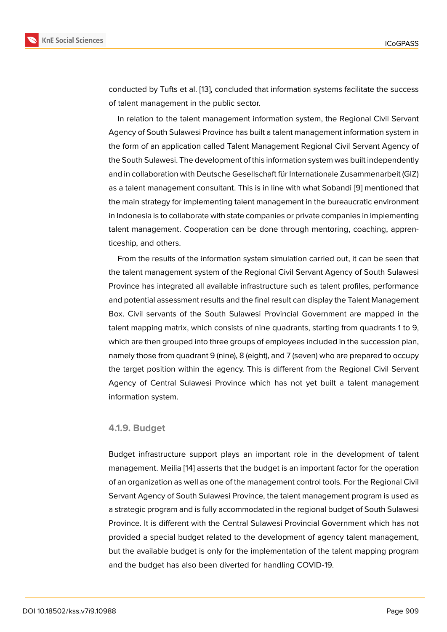conducted by Tufts et al. [13], concluded that information systems facilitate the success of talent management in the public sector.

In relation to the talent management information system, the Regional Civil Servant Agency of South Sulawesi [Pr](#page-14-3)ovince has built a talent management information system in the form of an application called Talent Management Regional Civil Servant Agency of the South Sulawesi. The development of this information system was built independently and in collaboration with Deutsche Gesellschaft für Internationale Zusammenarbeit (GIZ) as a talent management consultant. This is in line with what Sobandi [9] mentioned that the main strategy for implementing talent management in the bureaucratic environment in Indonesia is to collaborate with state companies or private companies in implementing talent management. Cooperation can be done through mentoring, [co](#page-14-0)aching, apprenticeship, and others.

From the results of the information system simulation carried out, it can be seen that the talent management system of the Regional Civil Servant Agency of South Sulawesi Province has integrated all available infrastructure such as talent profiles, performance and potential assessment results and the final result can display the Talent Management Box. Civil servants of the South Sulawesi Provincial Government are mapped in the talent mapping matrix, which consists of nine quadrants, starting from quadrants 1 to 9, which are then grouped into three groups of employees included in the succession plan, namely those from quadrant 9 (nine), 8 (eight), and 7 (seven) who are prepared to occupy the target position within the agency. This is different from the Regional Civil Servant Agency of Central Sulawesi Province which has not yet built a talent management information system.

#### **4.1.9. Budget**

Budget infrastructure support plays an important role in the development of talent management. Meilia [14] asserts that the budget is an important factor for the operation of an organization as well as one of the management control tools. For the Regional Civil Servant Agency of South Sulawesi Province, the talent management program is used as a strategic program a[nd](#page-14-4) is fully accommodated in the regional budget of South Sulawesi Province. It is different with the Central Sulawesi Provincial Government which has not provided a special budget related to the development of agency talent management, but the available budget is only for the implementation of the talent mapping program and the budget has also been diverted for handling COVID-19.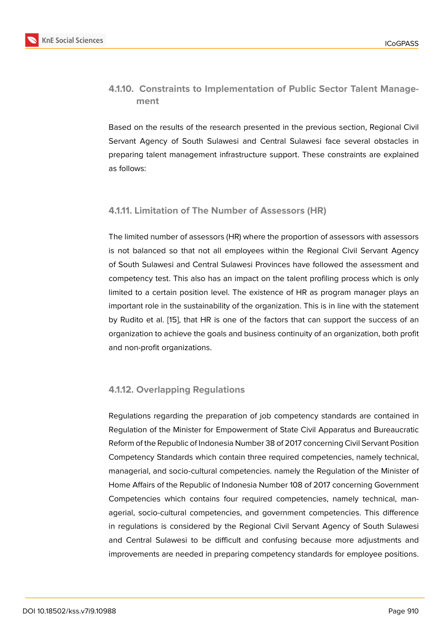### **4.1.10. Constraints to Implementation of Public Sector Talent Management**

Based on the results of the research presented in the previous section, Regional Civil Servant Agency of South Sulawesi and Central Sulawesi face several obstacles in preparing talent management infrastructure support. These constraints are explained as follows:

#### **4.1.11. Limitation of The Number of Assessors (HR)**

The limited number of assessors (HR) where the proportion of assessors with assessors is not balanced so that not all employees within the Regional Civil Servant Agency of South Sulawesi and Central Sulawesi Provinces have followed the assessment and competency test. This also has an impact on the talent profiling process which is only limited to a certain position level. The existence of HR as program manager plays an important role in the sustainability of the organization. This is in line with the statement by Rudito et al. [15], that HR is one of the factors that can support the success of an organization to achieve the goals and business continuity of an organization, both profit and non-profit organizations.

### **4.1.12. Overlapping Regulations**

Regulations regarding the preparation of job competency standards are contained in Regulation of the Minister for Empowerment of State Civil Apparatus and Bureaucratic Reform of the Republic of Indonesia Number 38 of 2017 concerning Civil Servant Position Competency Standards which contain three required competencies, namely technical, managerial, and socio-cultural competencies. namely the Regulation of the Minister of Home Affairs of the Republic of Indonesia Number 108 of 2017 concerning Government Competencies which contains four required competencies, namely technical, managerial, socio-cultural competencies, and government competencies. This difference in regulations is considered by the Regional Civil Servant Agency of South Sulawesi and Central Sulawesi to be difficult and confusing because more adjustments and improvements are needed in preparing competency standards for employee positions.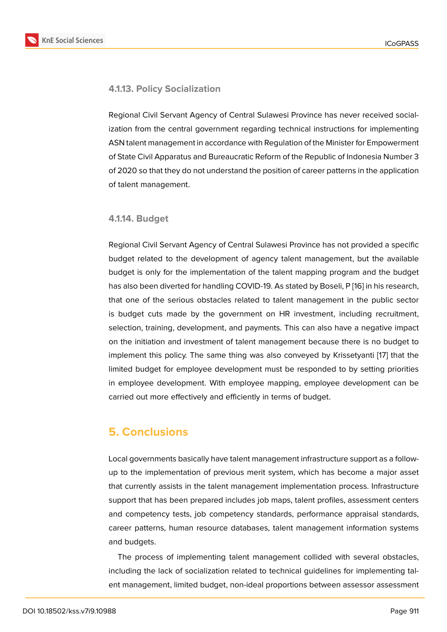#### **4.1.13. Policy Socialization**

Regional Civil Servant Agency of Central Sulawesi Province has never received socialization from the central government regarding technical instructions for implementing ASN talent management in accordance with Regulation of the Minister for Empowerment of State Civil Apparatus and Bureaucratic Reform of the Republic of Indonesia Number 3 of 2020 so that they do not understand the position of career patterns in the application of talent management.

#### **4.1.14. Budget**

Regional Civil Servant Agency of Central Sulawesi Province has not provided a specific budget related to the development of agency talent management, but the available budget is only for the implementation of the talent mapping program and the budget has also been diverted for handling COVID-19. As stated by Boseli, P [16] in his research, that one of the serious obstacles related to talent management in the public sector is budget cuts made by the government on HR investment, including recruitment, selection, training, development, and payments. This can also have [a n](#page-14-5)egative impact on the initiation and investment of talent management because there is no budget to implement this policy. The same thing was also conveyed by Krissetyanti [17] that the limited budget for employee development must be responded to by setting priorities in employee development. With employee mapping, employee development can be carried out more effectively and efficiently in terms of budget.

# **5. Conclusions**

Local governments basically have talent management infrastructure support as a followup to the implementation of previous merit system, which has become a major asset that currently assists in the talent management implementation process. Infrastructure support that has been prepared includes job maps, talent profiles, assessment centers and competency tests, job competency standards, performance appraisal standards, career patterns, human resource databases, talent management information systems and budgets.

The process of implementing talent management collided with several obstacles, including the lack of socialization related to technical guidelines for implementing talent management, limited budget, non-ideal proportions between assessor assessment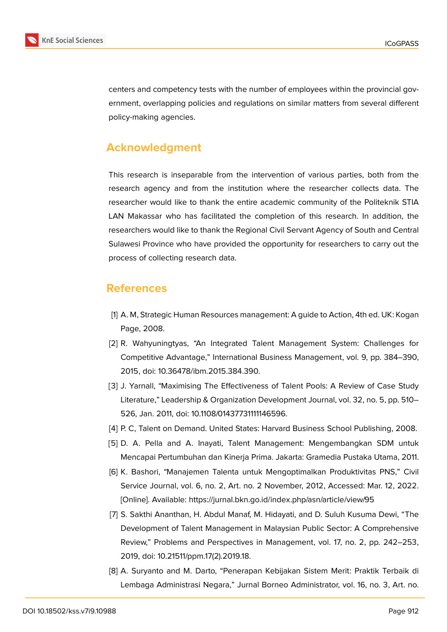

centers and competency tests with the number of employees within the provincial government, overlapping policies and regulations on similar matters from several different policy-making agencies.

# **Acknowledgment**

This research is inseparable from the intervention of various parties, both from the research agency and from the institution where the researcher collects data. The researcher would like to thank the entire academic community of the Politeknik STIA LAN Makassar who has facilitated the completion of this research. In addition, the researchers would like to thank the Regional Civil Servant Agency of South and Central Sulawesi Province who have provided the opportunity for researchers to carry out the process of collecting research data.

### **References**

- <span id="page-13-0"></span>[1] A. M, Strategic Human Resources management: A guide to Action, 4th ed. UK: Kogan Page, 2008.
- <span id="page-13-1"></span>[2] R. Wahyuningtyas, "An Integrated Talent Management System: Challenges for Competitive Advantage," International Business Management, vol. 9, pp. 384–390, 2015, doi: 10.36478/ibm.2015.384.390.
- [3] J. Yarnall, "Maximising The Effectiveness of Talent Pools: A Review of Case Study Literature," Leadership & Organization Development Journal, vol. 32, no. 5, pp. 510– 526, Jan. 2011, doi: 10.1108/01437731111146596.
- <span id="page-13-2"></span>[4] P. C, Talent on Demand. United States: Harvard Business School Publishing, 2008.
- <span id="page-13-3"></span>[5] D. A. Pella and A. Inayati, Talent Management: Mengembangkan SDM untuk Mencapai Pertumbuhan dan Kinerja Prima. Jakarta: Gramedia Pustaka Utama, 2011.
- <span id="page-13-4"></span>[6] K. Bashori, "Manajemen Talenta untuk Mengoptimalkan Produktivitas PNS," Civil Service Journal, vol. 6, no. 2, Art. no. 2 November, 2012, Accessed: Mar. 12, 2022. [Online]. Available: https://jurnal.bkn.go.id/index.php/asn/article/view/95
- <span id="page-13-5"></span>[7] S. Sakthi Ananthan, H. Abdul Manaf, M. Hidayati, and D. Suluh Kusuma Dewi, "The Development of Talent Management in Malaysian Public Sector: A Comprehensive Review," Problems and Perspectives in Management, vol. 17, no. 2, pp. 242–253, 2019, doi: 10.21511/ppm.17(2).2019.18.
- [8] A. Suryanto and M. Darto, "Penerapan Kebijakan Sistem Merit: Praktik Terbaik di Lembaga Administrasi Negara," Jurnal Borneo Administrator, vol. 16, no. 3, Art. no.